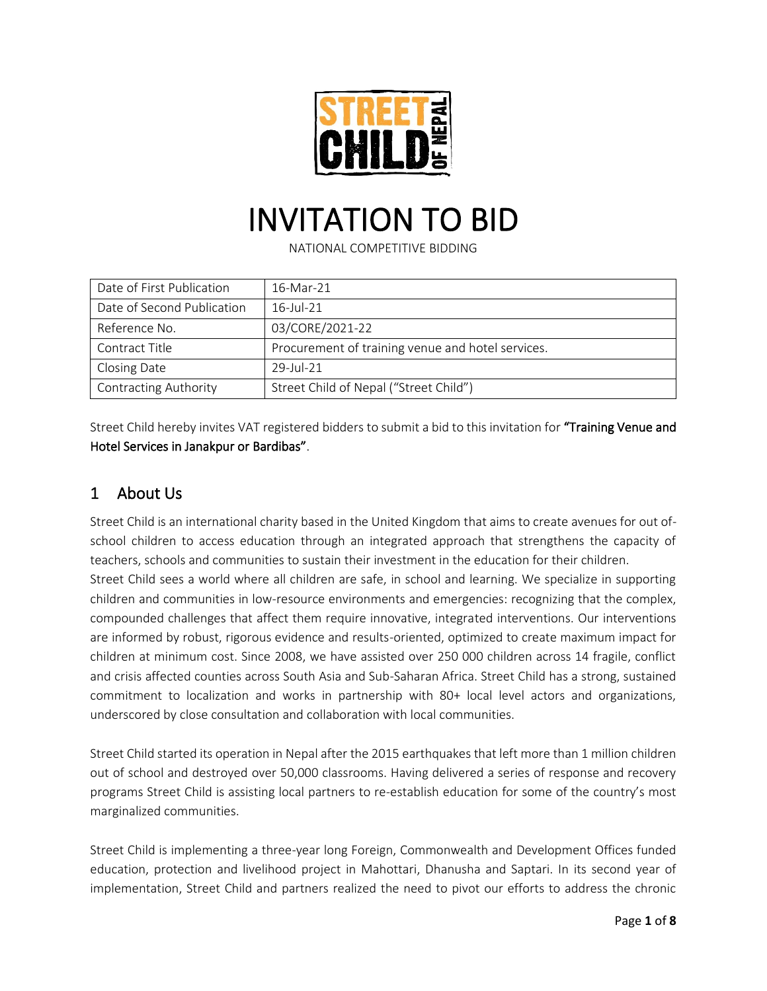

# INVITATION TO BID

NATIONAL COMPETITIVE BIDDING

| Date of First Publication    | 16-Mar-21                                         |  |
|------------------------------|---------------------------------------------------|--|
| Date of Second Publication   | $16$ -Jul-21                                      |  |
| Reference No.                | 03/CORE/2021-22                                   |  |
| Contract Title               | Procurement of training venue and hotel services. |  |
| Closing Date                 | $29$ -Jul-21                                      |  |
| <b>Contracting Authority</b> | Street Child of Nepal ("Street Child")            |  |

Street Child hereby invites VAT registered bidders to submit a bid to this invitation for "Training Venue and Hotel Services in Janakpur or Bardibas".

## 1 About Us

Street Child is an international charity based in the United Kingdom that aims to create avenues for out ofschool children to access education through an integrated approach that strengthens the capacity of teachers, schools and communities to sustain their investment in the education for their children. Street Child sees a world where all children are safe, in school and learning. We specialize in supporting children and communities in low-resource environments and emergencies: recognizing that the complex, compounded challenges that affect them require innovative, integrated interventions. Our interventions are informed by robust, rigorous evidence and results-oriented, optimized to create maximum impact for children at minimum cost. Since 2008, we have assisted over 250 000 children across 14 fragile, conflict and crisis affected counties across South Asia and Sub-Saharan Africa. Street Child has a strong, sustained commitment to localization and works in partnership with 80+ local level actors and organizations, underscored by close consultation and collaboration with local communities.

Street Child started its operation in Nepal after the 2015 earthquakes that left more than 1 million children out of school and destroyed over 50,000 classrooms. Having delivered a series of response and recovery programs Street Child is assisting local partners to re-establish education for some of the country's most marginalized communities.

Street Child is implementing a three-year long Foreign, Commonwealth and Development Offices funded education, protection and livelihood project in Mahottari, Dhanusha and Saptari. In its second year of implementation, Street Child and partners realized the need to pivot our efforts to address the chronic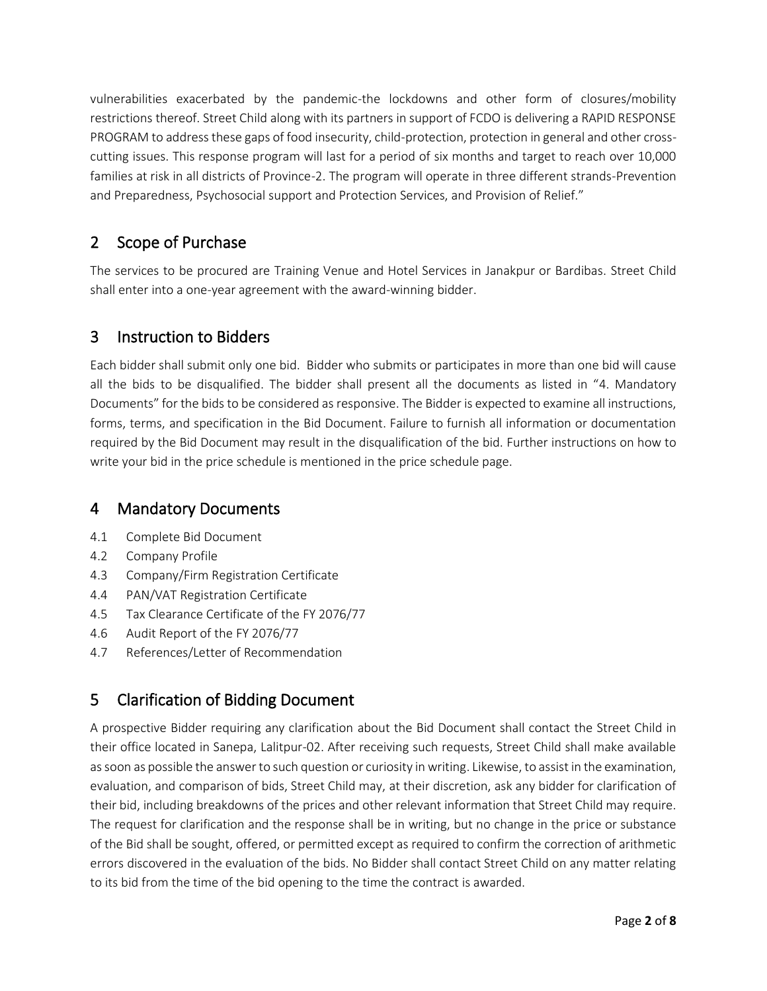vulnerabilities exacerbated by the pandemic-the lockdowns and other form of closures/mobility restrictions thereof. Street Child along with its partners in support of FCDO is delivering a RAPID RESPONSE PROGRAM to address these gaps of food insecurity, child-protection, protection in general and other crosscutting issues. This response program will last for a period of six months and target to reach over 10,000 families at risk in all districts of Province-2. The program will operate in three different strands-Prevention and Preparedness, Psychosocial support and Protection Services, and Provision of Relief."

## 2 Scope of Purchase

The services to be procured are Training Venue and Hotel Services in Janakpur or Bardibas. Street Child shall enter into a one-year agreement with the award-winning bidder.

## 3 Instruction to Bidders

Each bidder shall submit only one bid. Bidder who submits or participates in more than one bid will cause all the bids to be disqualified. The bidder shall present all the documents as listed in "4. Mandatory Documents" for the bids to be considered as responsive. The Bidder is expected to examine all instructions, forms, terms, and specification in the Bid Document. Failure to furnish all information or documentation required by the Bid Document may result in the disqualification of the bid. Further instructions on how to write your bid in the price schedule is mentioned in the price schedule page.

## 4 Mandatory Documents

- 4.1 Complete Bid Document
- 4.2 Company Profile
- 4.3 Company/Firm Registration Certificate
- 4.4 PAN/VAT Registration Certificate
- 4.5 Tax Clearance Certificate of the FY 2076/77
- 4.6 Audit Report of the FY 2076/77
- 4.7 References/Letter of Recommendation

## 5 Clarification of Bidding Document

A prospective Bidder requiring any clarification about the Bid Document shall contact the Street Child in their office located in Sanepa, Lalitpur-02. After receiving such requests, Street Child shall make available as soon as possible the answer to such question or curiosity in writing. Likewise, to assist in the examination, evaluation, and comparison of bids, Street Child may, at their discretion, ask any bidder for clarification of their bid, including breakdowns of the prices and other relevant information that Street Child may require. The request for clarification and the response shall be in writing, but no change in the price or substance of the Bid shall be sought, offered, or permitted except as required to confirm the correction of arithmetic errors discovered in the evaluation of the bids. No Bidder shall contact Street Child on any matter relating to its bid from the time of the bid opening to the time the contract is awarded.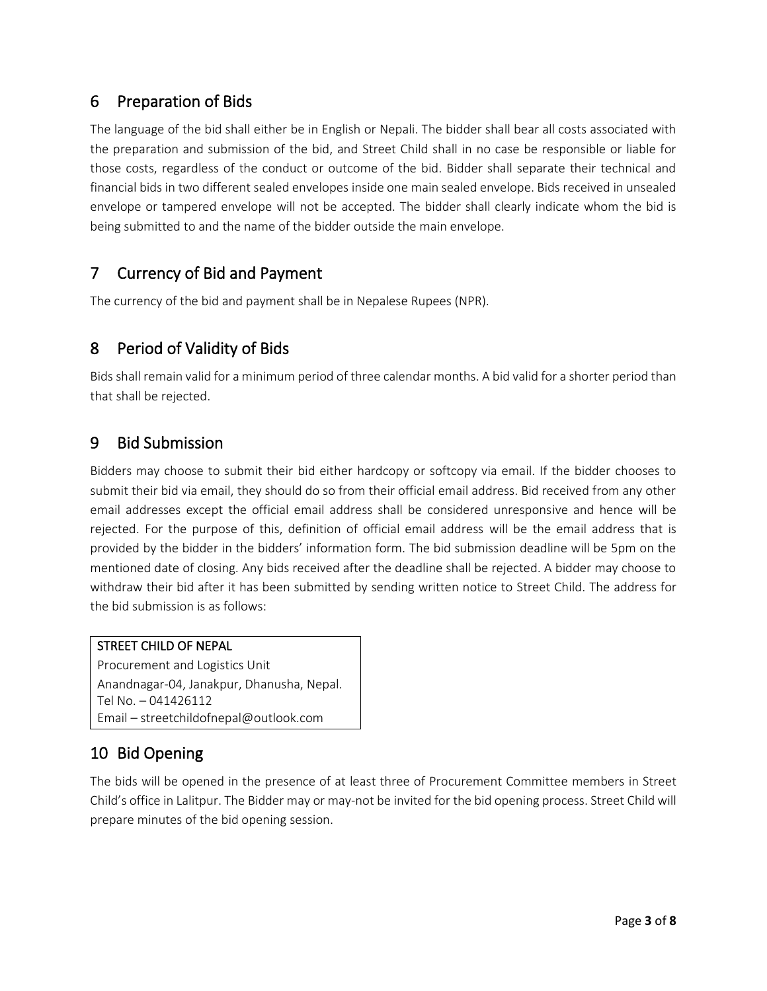## 6 Preparation of Bids

The language of the bid shall either be in English or Nepali. The bidder shall bear all costs associated with the preparation and submission of the bid, and Street Child shall in no case be responsible or liable for those costs, regardless of the conduct or outcome of the bid. Bidder shall separate their technical and financial bids in two different sealed envelopes inside one main sealed envelope. Bids received in unsealed envelope or tampered envelope will not be accepted. The bidder shall clearly indicate whom the bid is being submitted to and the name of the bidder outside the main envelope.

## 7 Currency of Bid and Payment

The currency of the bid and payment shall be in Nepalese Rupees (NPR).

## 8 Period of Validity of Bids

Bids shall remain valid for a minimum period of three calendar months. A bid valid for a shorter period than that shall be rejected.

## 9 Bid Submission

Bidders may choose to submit their bid either hardcopy or softcopy via email. If the bidder chooses to submit their bid via email, they should do so from their official email address. Bid received from any other email addresses except the official email address shall be considered unresponsive and hence will be rejected. For the purpose of this, definition of official email address will be the email address that is provided by the bidder in the bidders' information form. The bid submission deadline will be 5pm on the mentioned date of closing. Any bids received after the deadline shall be rejected. A bidder may choose to withdraw their bid after it has been submitted by sending written notice to Street Child. The address for the bid submission is as follows:

#### STREET CHILD OF NEPAL

Procurement and Logistics Unit Anandnagar-04, Janakpur, Dhanusha, Nepal. Tel No. – 041426112 Email – streetchildofnepal@outlook.com

## 10 Bid Opening

The bids will be opened in the presence of at least three of Procurement Committee members in Street Child's office in Lalitpur. The Bidder may or may-not be invited for the bid opening process. Street Child will prepare minutes of the bid opening session.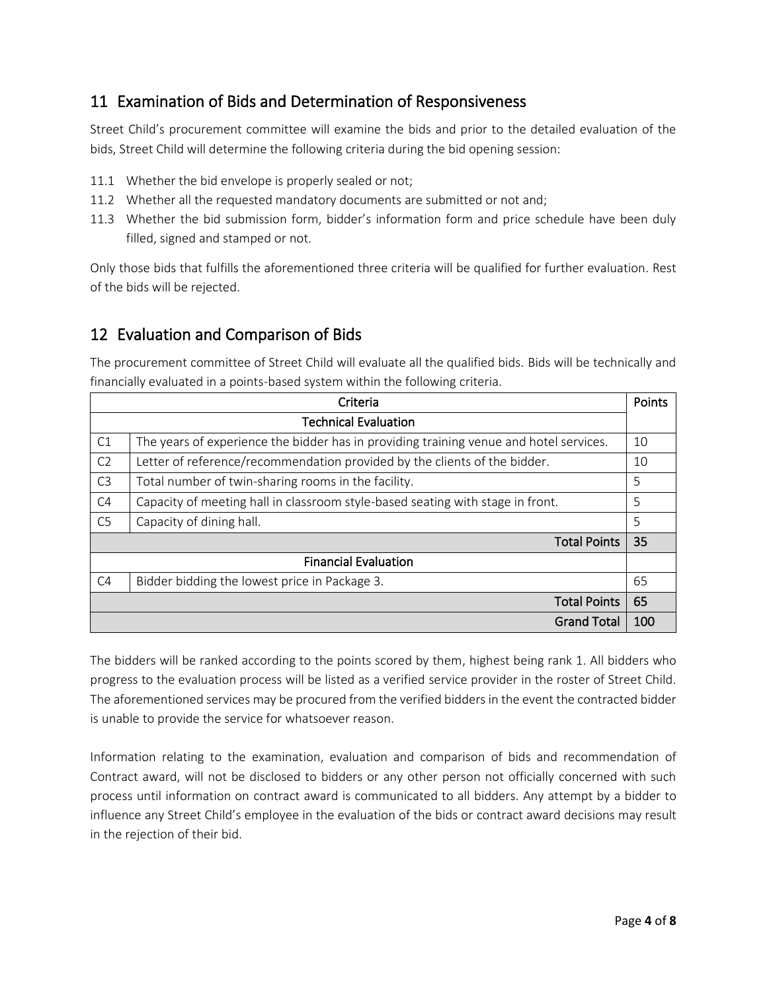## 11 Examination of Bids and Determination of Responsiveness

Street Child's procurement committee will examine the bids and prior to the detailed evaluation of the bids, Street Child will determine the following criteria during the bid opening session:

- 11.1 Whether the bid envelope is properly sealed or not;
- 11.2 Whether all the requested mandatory documents are submitted or not and;
- 11.3 Whether the bid submission form, bidder's information form and price schedule have been duly filled, signed and stamped or not.

Only those bids that fulfills the aforementioned three criteria will be qualified for further evaluation. Rest of the bids will be rejected.

### 12 Evaluation and Comparison of Bids

The procurement committee of Street Child will evaluate all the qualified bids. Bids will be technically and financially evaluated in a points-based system within the following criteria.

| Criteria                                                                                    |                                                                                        |     |  |  |
|---------------------------------------------------------------------------------------------|----------------------------------------------------------------------------------------|-----|--|--|
| <b>Technical Evaluation</b>                                                                 |                                                                                        |     |  |  |
| C1                                                                                          | The years of experience the bidder has in providing training venue and hotel services. |     |  |  |
| Letter of reference/recommendation provided by the clients of the bidder.<br>C <sub>2</sub> |                                                                                        | 10  |  |  |
| C <sub>3</sub><br>Total number of twin-sharing rooms in the facility.                       |                                                                                        | 5   |  |  |
| Capacity of meeting hall in classroom style-based seating with stage in front.<br>C4        |                                                                                        | 5   |  |  |
| C <sub>5</sub><br>Capacity of dining hall.                                                  |                                                                                        | .5  |  |  |
|                                                                                             | <b>Total Points</b>                                                                    | 35  |  |  |
|                                                                                             | <b>Financial Evaluation</b>                                                            |     |  |  |
| C <sub>4</sub>                                                                              | Bidder bidding the lowest price in Package 3.                                          | 65  |  |  |
|                                                                                             | <b>Total Points</b>                                                                    | 65  |  |  |
|                                                                                             | <b>Grand Total</b>                                                                     | 100 |  |  |

The bidders will be ranked according to the points scored by them, highest being rank 1. All bidders who progress to the evaluation process will be listed as a verified service provider in the roster of Street Child. The aforementioned services may be procured from the verified bidders in the event the contracted bidder is unable to provide the service for whatsoever reason.

Information relating to the examination, evaluation and comparison of bids and recommendation of Contract award, will not be disclosed to bidders or any other person not officially concerned with such process until information on contract award is communicated to all bidders. Any attempt by a bidder to influence any Street Child's employee in the evaluation of the bids or contract award decisions may result in the rejection of their bid.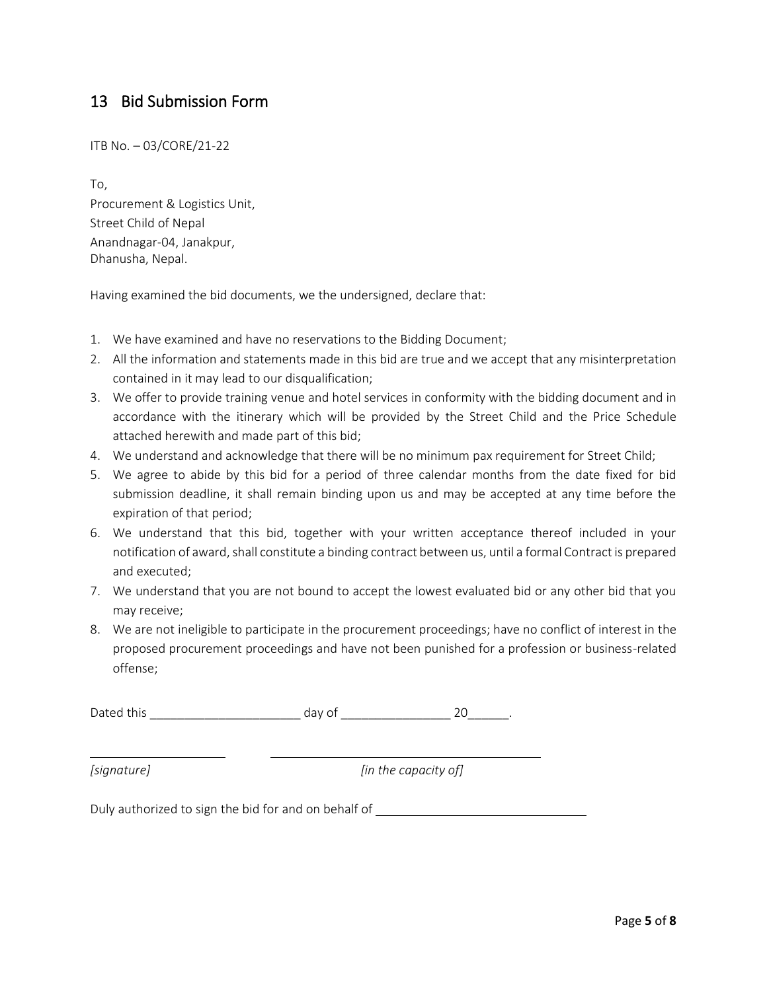## 13 Bid Submission Form

ITB No. – 03/CORE/21-22

To, Procurement & Logistics Unit, Street Child of Nepal Anandnagar-04, Janakpur, Dhanusha, Nepal.

Having examined the bid documents, we the undersigned, declare that:

- 1. We have examined and have no reservations to the Bidding Document;
- 2. All the information and statements made in this bid are true and we accept that any misinterpretation contained in it may lead to our disqualification;
- 3. We offer to provide training venue and hotel services in conformity with the bidding document and in accordance with the itinerary which will be provided by the Street Child and the Price Schedule attached herewith and made part of this bid;
- 4. We understand and acknowledge that there will be no minimum pax requirement for Street Child;
- 5. We agree to abide by this bid for a period of three calendar months from the date fixed for bid submission deadline, it shall remain binding upon us and may be accepted at any time before the expiration of that period;
- 6. We understand that this bid, together with your written acceptance thereof included in your notification of award, shall constitute a binding contract between us, until a formal Contract is prepared and executed;
- 7. We understand that you are not bound to accept the lowest evaluated bid or any other bid that you may receive;
- 8. We are not ineligible to participate in the procurement proceedings; have no conflict of interest in the proposed procurement proceedings and have not been punished for a profession or business-related offense;

Dated this \_\_\_\_\_\_\_\_\_\_\_\_\_\_\_\_\_\_\_\_\_\_ day of \_\_\_\_\_\_\_\_\_\_\_\_\_\_\_\_ 20\_\_\_\_\_\_.

*[signature] [in the capacity of]*

Duly authorized to sign the bid for and on behalf of \_\_\_\_\_\_\_\_\_\_\_\_\_\_\_\_\_\_\_\_\_\_\_\_\_\_\_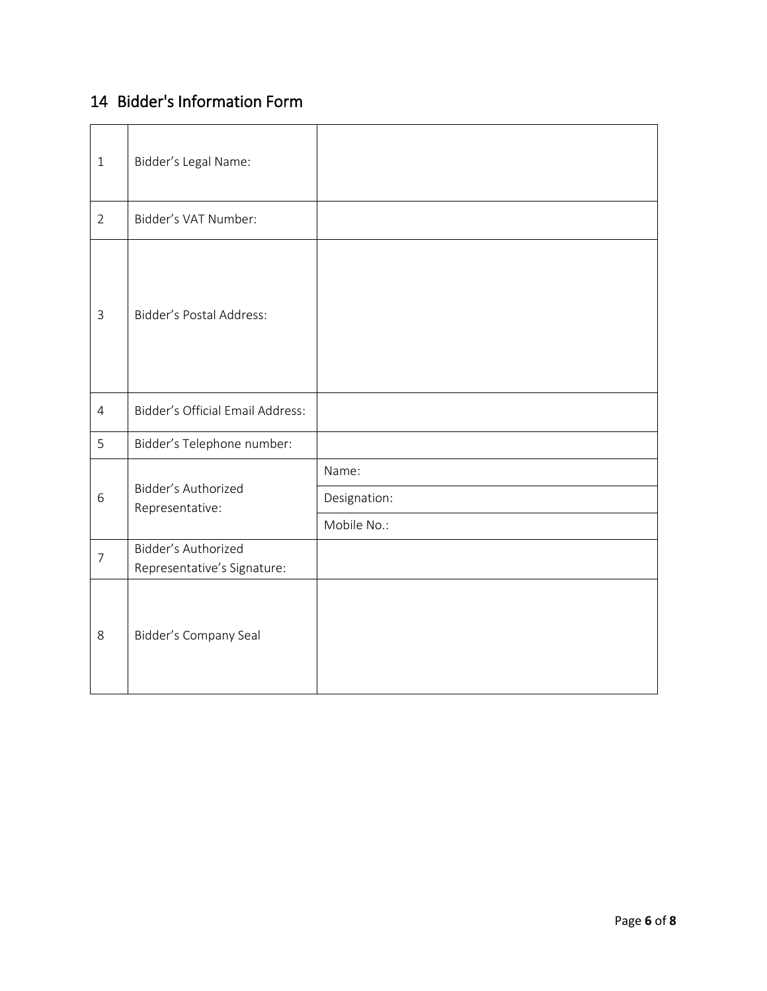## 14 Bidder's Information Form

| $\mathbf{1}$   | Bidder's Legal Name:                               |              |
|----------------|----------------------------------------------------|--------------|
| $\overline{2}$ | Bidder's VAT Number:                               |              |
| $\mathsf{3}$   | Bidder's Postal Address:                           |              |
| $\overline{4}$ | <b>Bidder's Official Email Address:</b>            |              |
| 5              | Bidder's Telephone number:                         |              |
|                | Bidder's Authorized<br>Representative:             | Name:        |
| 6              |                                                    | Designation: |
|                |                                                    | Mobile No.:  |
| $\overline{7}$ | Bidder's Authorized<br>Representative's Signature: |              |
| 8              | Bidder's Company Seal                              |              |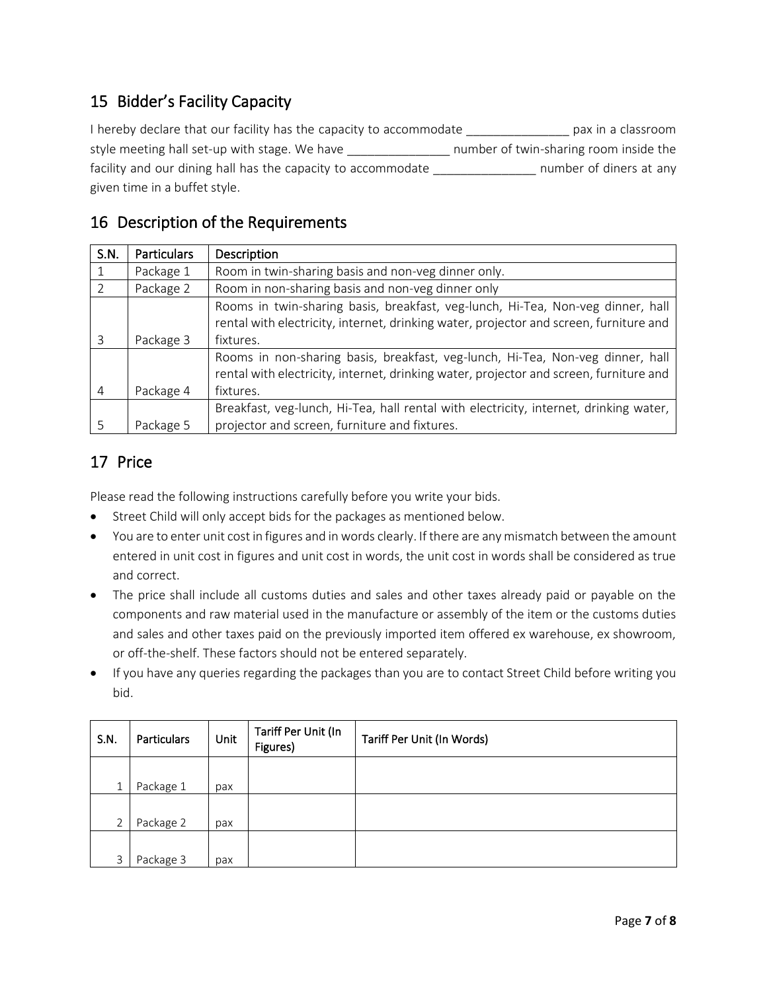## 15 Bidder's Facility Capacity

I hereby declare that our facility has the capacity to accommodate \_\_\_\_\_\_\_\_\_\_\_\_\_\_\_ pax in a classroom style meeting hall set-up with stage. We have \_\_\_\_\_\_\_\_\_\_\_\_\_\_\_\_\_\_ number of twin-sharing room inside the facility and our dining hall has the capacity to accommodate \_\_\_\_\_\_\_\_\_\_\_\_\_\_\_\_\_\_\_ number of diners at any given time in a buffet style.

## 16 Description of the Requirements

| S.N.           | <b>Particulars</b> | Description                                                                            |  |  |
|----------------|--------------------|----------------------------------------------------------------------------------------|--|--|
|                | Package 1          | Room in twin-sharing basis and non-veg dinner only.                                    |  |  |
|                | Package 2          | Room in non-sharing basis and non-veg dinner only                                      |  |  |
|                |                    | Rooms in twin-sharing basis, breakfast, veg-lunch, Hi-Tea, Non-veg dinner, hall        |  |  |
|                |                    | rental with electricity, internet, drinking water, projector and screen, furniture and |  |  |
| 3              | Package 3          | fixtures.                                                                              |  |  |
|                |                    | Rooms in non-sharing basis, breakfast, veg-lunch, Hi-Tea, Non-veg dinner, hall         |  |  |
|                |                    | rental with electricity, internet, drinking water, projector and screen, furniture and |  |  |
| $\overline{4}$ | Package 4          | fixtures.                                                                              |  |  |
|                |                    | Breakfast, veg-lunch, Hi-Tea, hall rental with electricity, internet, drinking water,  |  |  |
|                | Package 5          | projector and screen, furniture and fixtures.                                          |  |  |

## 17 Price

Please read the following instructions carefully before you write your bids.

- Street Child will only accept bids for the packages as mentioned below.
- You are to enter unit cost in figures and in words clearly. If there are any mismatch between the amount entered in unit cost in figures and unit cost in words, the unit cost in words shall be considered as true and correct.
- The price shall include all customs duties and sales and other taxes already paid or payable on the components and raw material used in the manufacture or assembly of the item or the customs duties and sales and other taxes paid on the previously imported item offered ex warehouse, ex showroom, or off-the-shelf. These factors should not be entered separately.
- If you have any queries regarding the packages than you are to contact Street Child before writing you bid.

| S.N.         | Particulars | Unit | Tariff Per Unit (In<br>Figures) | Tariff Per Unit (In Words) |
|--------------|-------------|------|---------------------------------|----------------------------|
|              |             |      |                                 |                            |
| $\mathbf{1}$ | Package 1   | pax  |                                 |                            |
|              |             |      |                                 |                            |
| ำ            | Package 2   | pax  |                                 |                            |
|              |             |      |                                 |                            |
| $\mathbf{R}$ | Package 3   | pax  |                                 |                            |